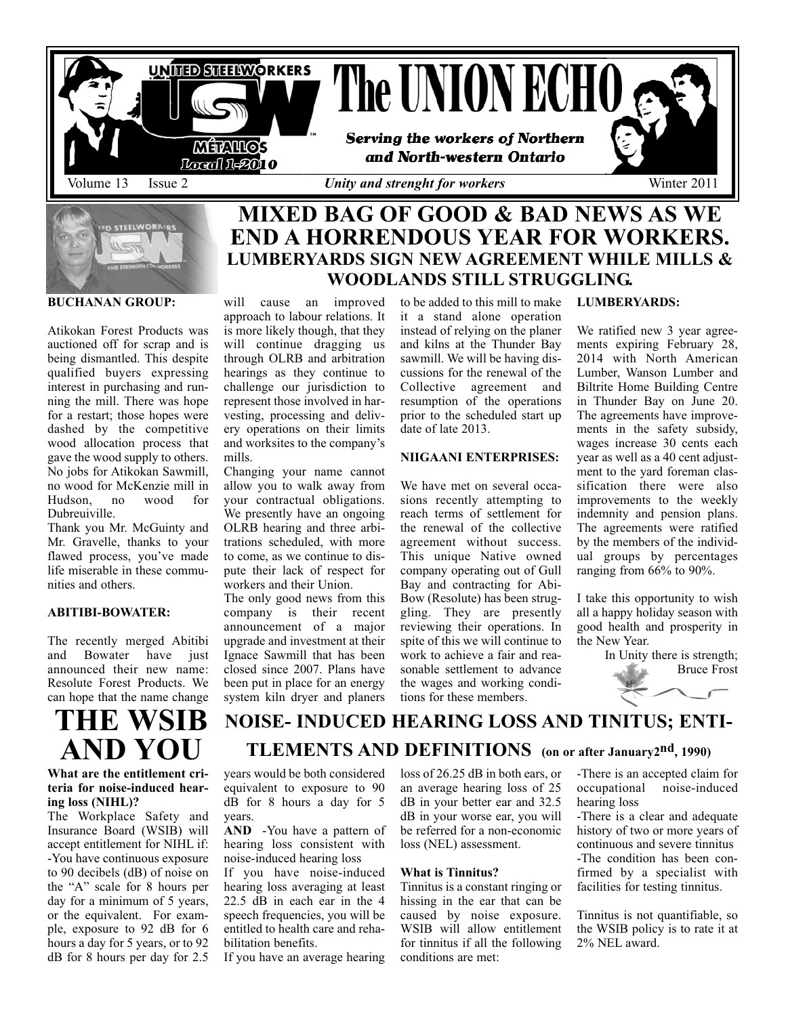



**BUCHANAN GROUP:** 

Atikokan Forest Products was auctioned off for scrap and is being dismantled. This despite qualified buyers expressing interest in purchasing and running the mill. There was hope for a restart; those hopes were dashed by the competitive wood allocation process that gave the wood supply to others. No jobs for Atikokan Sawmill, no wood for McKenzie mill in Hudson, no Dubreuiville.

Thank you Mr. McGuinty and Mr. Gravelle, thanks to your flawed process, you've made life miserable in these communities and others.

#### **ABITIBI-BOWATER:**

The recently merged Abitibi and Bowater have just announced their new name: Resolute Forest Products. We can hope that the name change

# **THE WSIB AND YOU**

#### **What are the entitlement criteria for noise-induced hearing loss (NIHL)?**

The Workplace Safety and Insurance Board (WSIB) will accept entitlement for NIHL if: -You have continuous exposure to 90 decibels (dB) of noise on the "A" scale for 8 hours per day for a minimum of 5 years, or the equivalent. For example, exposure to 92 dB for 6 hours a day for 5 years, or to 92 dB for 8 hours per day for 2.5

# **END A HORRENDOUS YEAR FOR WORKERS. LUMBERYARDS SIGN NEW AGREEMENT WHILE MILLS & WOODLANDS STILL STRUGGLING.**

will cause an improved approach to labour relations. It is more likely though, that they will continue dragging us through OLRB and arbitration hearings as they continue to challenge our jurisdiction to represent those involved in harvesting, processing and delivery operations on their limits and worksites to the company's mills.

Changing your name cannot allow you to walk away from your contractual obligations. We presently have an ongoing OLRB hearing and three arbitrations scheduled, with more to come, as we continue to dispute their lack of respect for workers and their Union.

The only good news from this company is their recent announcement of a major upgrade and investment at their Ignace Sawmill that has been closed since 2007. Plans have been put in place for an energy system kiln dryer and planers

to be added to this mill to make it a stand alone operation instead of relying on the planer and kilns at the Thunder Bay sawmill. We will be having discussions for the renewal of the Collective agreement and resumption of the operations prior to the scheduled start up date of late 2013.

#### **NIIGAANI ENTERPRISES:**

We have met on several occasions recently attempting to reach terms of settlement for the renewal of the collective agreement without success. This unique Native owned company operating out of Gull Bay and contracting for Abi-Bow (Resolute) has been struggling. They are presently reviewing their operations. In spite of this we will continue to work to achieve a fair and reasonable settlement to advance the wages and working conditions for these members.

#### **LUMBERYARDS:**

We ratified new 3 year agreements expiring February 28, 2014 with North American Lumber, Wanson Lumber and Biltrite Home Building Centre in Thunder Bay on June 20. The agreements have improvements in the safety subsidy, wages increase 30 cents each year as well as a 40 cent adjustment to the yard foreman classification there were also improvements to the weekly indemnity and pension plans. The agreements were ratified by the members of the individual groups by percentages ranging from 66% to 90%.

I take this opportunity to wish all a happy holiday season with good health and prosperity in the New Year.

> In Unity there is strength; Bruce Frost



### **NOISE- INDUCED HEARING LOSS AND TINITUS; ENTI-TLEMENTS AND DEFINITIONS (on or after January2nd, 1990)**

years would be both considered equivalent to exposure to 90 dB for 8 hours a day for 5 years.

**AND** -You have a pattern of hearing loss consistent with noise-induced hearing loss

If you have noise-induced hearing loss averaging at least 22.5 dB in each ear in the 4 speech frequencies, you will be entitled to health care and rehabilitation benefits.

If you have an average hearing

loss of 26.25 dB in both ears, or an average hearing loss of 25 dB in your better ear and 32.5 dB in your worse ear, you will be referred for a non-economic loss (NEL) assessment.

#### **What is Tinnitus?**

Tinnitus is a constant ringing or hissing in the ear that can be caused by noise exposure. WSIB will allow entitlement for tinnitus if all the following conditions are met:

-There is an accepted claim for occupational noise-induced hearing loss

-There is a clear and adequate history of two or more years of continuous and severe tinnitus -The condition has been confirmed by a specialist with facilities for testing tinnitus.

Tinnitus is not quantifiable, so the WSIB policy is to rate it at 2% NEL award.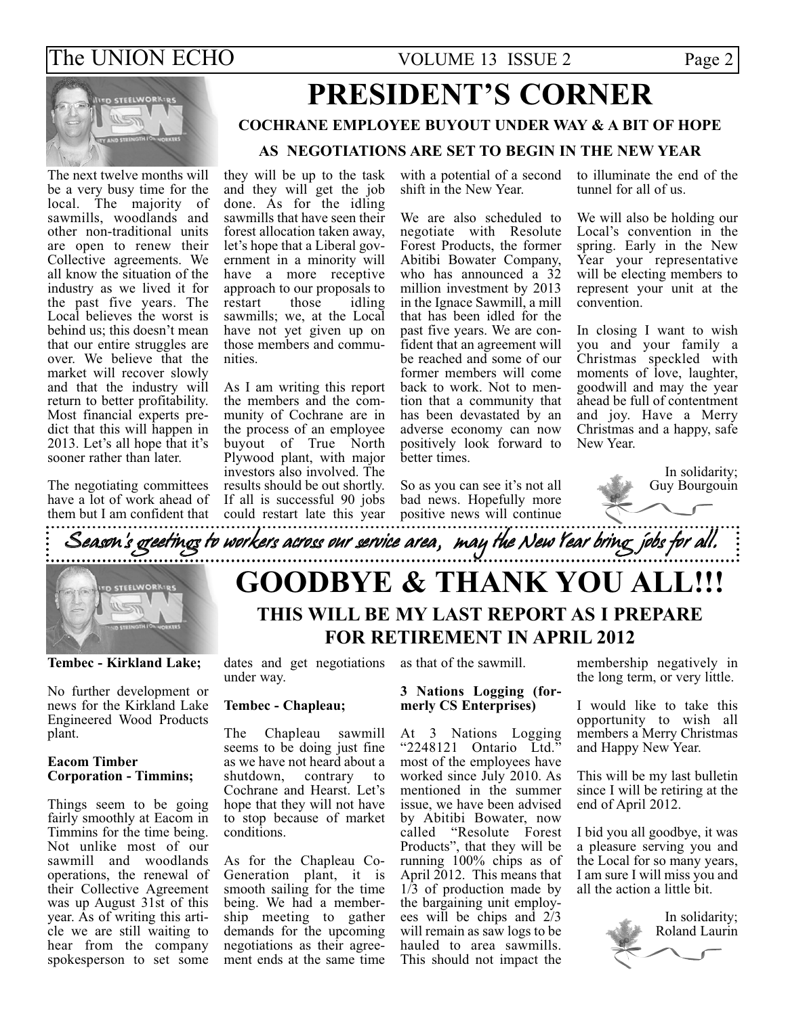### The UNION ECHO VOLUME 13 ISSUE 2 Page 2



#### The next twelve months will be a very busy time for the local. The majority of sawmills, woodlands and other non-traditional units are open to renew their Collective agreements. We all know the situation of the industry as we lived it for the past five years. The Local believes the worst is behind us; this doesn't mean that our entire struggles are over. We believe that the market will recover slowly and that the industry will return to better profitability. Most financial experts predict that this will happen in 2013. Let's all hope that it's sooner rather than later.

The negotiating committees have a lot of work ahead of them but I am confident that

## **PRESIDENT'S CORNER COCHRANE EMPLOYEE BUYOUT UNDER WAY & A BIT OF HOPE AS NEGOTIATIONS ARE SET TO BEGIN IN THE NEW YEAR**

they will be up to the task and they will get the job done. As for the idling sawmills that have seen their forest allocation taken away, let's hope that a Liberal government in a minority will have a more receptive approach to our proposals to<br>restart those idling restart sawmills; we, at the Local have not yet given up on those members and communities.

As I am writing this report the members and the community of Cochrane are in the process of an employee buyout of True North Plywood plant, with major investors also involved. The results should be out shortly. If all is successful 90 jobs could restart late this year with a potential of a second shift in the New Year.

We are also scheduled to negotiate with Resolute Forest Products, the former Abitibi Bowater Company, who has announced a  $32$ million investment by 2013 in the Ignace Sawmill, a mill that has been idled for the past five years. We are confident that an agreement will be reached and some of our former members will come back to work. Not to mention that a community that has been devastated by an adverse economy can now positively look forward to better times.

to illuminate the end of the tunnel for all of us.

We will also be holding our Local's convention in the spring. Early in the New Year your representative will be electing members to represent your unit at the convention.

In closing I want to wish you and your family a Christmas speckled with moments of love, laughter, goodwill and may the year ahead be full of contentment and joy. Have a Merry Christmas and a happy, safe New Year.

> In solidarity; Guy Bourgouin

So as you can see it's not all bad news. Hopefully more positive news will continue



**Tembec - Kirkland Lake;**

No further development or news for the Kirkland Lake Engineered Wood Products plant.

#### **Eacom Timber Corporation - Timmins;**

Things seem to be going fairly smoothly at Eacom in Timmins for the time being. Not unlike most of our sawmill and woodlands operations, the renewal of their Collective Agreement was up August 31st of this year. As of writing this article we are still waiting to hear from the company spokesperson to set some

dates and get negotiations as that of the sawmill. under way.

### **Tembec - Chapleau;**

The Chapleau sawmill seems to be doing just fine as we have not heard about a<br>shutdown, contrary to shutdown. Cochrane and Hearst. Let's hope that they will not have to stop because of market conditions.

As for the Chapleau Co-Generation plant, it is smooth sailing for the time being. We had a membership meeting to gather demands for the upcoming negotiations as their agreement ends at the same time

### **3 Nations Logging (formerly CS Enterprises)**

At 3 Nations Logging "2248121 Ontario Ltd." most of the employees have worked since July 2010. As mentioned in the summer issue, we have been advised by Abitibi Bowater, now called "Resolute Forest Products", that they will be running 100% chips as of April 2012. This means that  $1/3$  of production made by the bargaining unit employees will be chips and 2/3 will remain as saw logs to be hauled to area sawmills. This should not impact the

membership negatively in the long term, or very little.

I would like to take this opportunity to wish all members a Merry Christmas and Happy New Year.

This will be my last bulletin since I will be retiring at the end of April 2012.

I bid you all goodbye, it was a pleasure serving you and the Local for so many years, I am sure I will miss you and all the action a little bit.

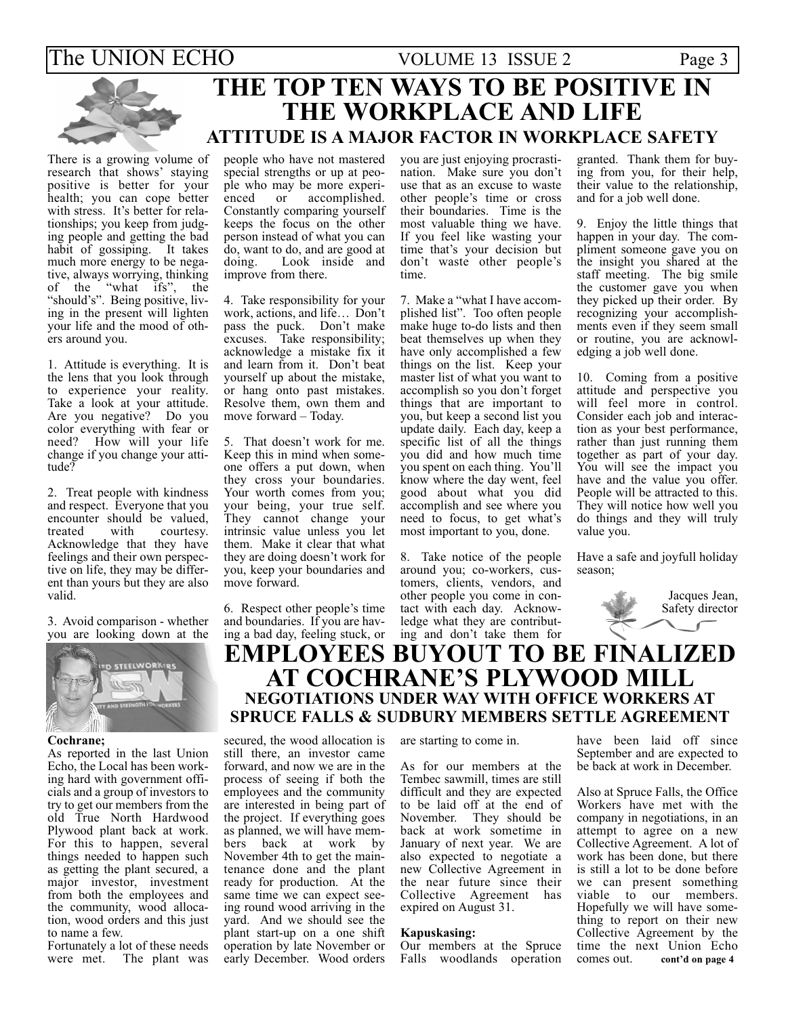### The UNION ECHO VOLUME 13 ISSUE 2 Page 3 **THE TOP TEN WAYS TO BE POSITIVE IN THE WORKPLACE AND LIFE ATTITUDE IS A MAJOR FACTOR IN WORKPLACE SAFETY**

There is a growing volume of research that shows' staying positive is better for your health; you can cope better with stress. It's better for relationships; you keep from judging people and getting the bad habit of gossiping. It takes much more energy to be negative, always worrying, thinking of the "what ifs", the "should's". Being positive, living in the present will lighten your life and the mood of others around you.

1. Attitude is everything. It is the lens that you look through to experience your reality. Take a look at your attitude. Are you negative? Do you color everything with fear or need? How will your life change if you change your attitude?

2. Treat people with kindness and respect. Everyone that you encounter should be valued,<br>treated with courtesy. treated with courtesy. Acknowledge that they have feelings and their own perspective on life, they may be different than yours but they are also valid.

3. Avoid comparison - whether you are looking down at the



#### **Cochrane;**

As reported in the last Union Echo, the Local has been working hard with government officials and a group of investors to try to get our members from the old True North Hardwood Plywood plant back at work. For this to happen, several things needed to happen such as getting the plant secured, a major investor, investment from both the employees and the community, wood allocation, wood orders and this just to name a few.

Fortunately a lot of these needs were met. The plant was

#### people who have not mastered special strengths or up at people who may be more experienced or accomplished. Constantly comparing yourself keeps the focus on the other person instead of what you can do, want to do, and are good at doing. Look inside and improve from there.

4. Take responsibility for your work, actions, and life… Don't pass the puck. Don't make excuses. Take responsibility; acknowledge a mistake fix it and learn from it. Don't beat yourself up about the mistake, or hang onto past mistakes. Resolve them, own them and move forward – Today.

5. That doesn't work for me. Keep this in mind when someone offers a put down, when they cross your boundaries. Your worth comes from you; your being, your true self. They cannot change your intrinsic value unless you let them. Make it clear that what they are doing doesn't work for you, keep your boundaries and move forward.

6. Respect other people's time and boundaries. If you are having a bad day, feeling stuck, or you are just enjoying procrastination. Make sure you don't use that as an excuse to waste other people's time or cross their boundaries. Time is the most valuable thing we have. If you feel like wasting your time that's your decision but don't waste other people's time.

7. Make a "what I have accomplished list". Too often people make huge to-do lists and then beat themselves up when they have only accomplished a few things on the list. Keep your master list of what you want to accomplish so you don't forget things that are important to you, but keep a second list you update daily. Each day, keep a specific list of all the things you did and how much time you spent on each thing. You'll know where the day went, feel good about what you did accomplish and see where you need to focus, to get what's most important to you, done.

8. Take notice of the people around you; co-workers, customers, clients, vendors, and other people you come in contact with each day. Acknowledge what they are contributing and don't take them for

granted. Thank them for buying from you, for their help, their value to the relationship, and for a job well done.

9. Enjoy the little things that happen in your day. The compliment someone gave you on the insight you shared at the staff meeting. The big smile the customer gave you when they picked up their order. By recognizing your accomplishments even if they seem small or routine, you are acknowledging a job well done.

10. Coming from a positive attitude and perspective you will feel more in control. Consider each job and interaction as your best performance, rather than just running them together as part of your day. You will see the impact you have and the value you offer. People will be attracted to this. They will notice how well you do things and they will truly value you.

Have a safe and joyfull holiday season;



### **EMPLOYEES BUYOUT TO BE FINALIZED AT COCHRANE'S PLYWOOD MILL NEGOTIATIONS UNDER WAY WITH OFFICE WORKERS AT SPRUCE FALLS & SUDBURY MEMBERS SETTLE AGREEMENT**

secured, the wood allocation is still there, an investor came forward, and now we are in the process of seeing if both the employees and the community are interested in being part of the project. If everything goes as planned, we will have members back at work by November 4th to get the maintenance done and the plant ready for production. At the same time we can expect seeing round wood arriving in the yard. And we should see the plant start-up on a one shift operation by late November or early December. Wood orders

#### are starting to come in.

As for our members at the Tembec sawmill, times are still difficult and they are expected to be laid off at the end of November. They should be back at work sometime in January of next year. We are also expected to negotiate a new Collective Agreement in the near future since their Collective Agreement has expired on August 31.

#### **Kapuskasing:**

Our members at the Spruce Falls woodlands operation have been laid off since September and are expected to be back at work in December.

Also at Spruce Falls, the Office Workers have met with the company in negotiations, in an attempt to agree on a new Collective Agreement. A lot of work has been done, but there is still a lot to be done before we can present something viable to our members. Hopefully we will have something to report on their new Collective Agreement by the time the next Union Echo<br>comes out. cont'd on page 4 cont'd on page 4